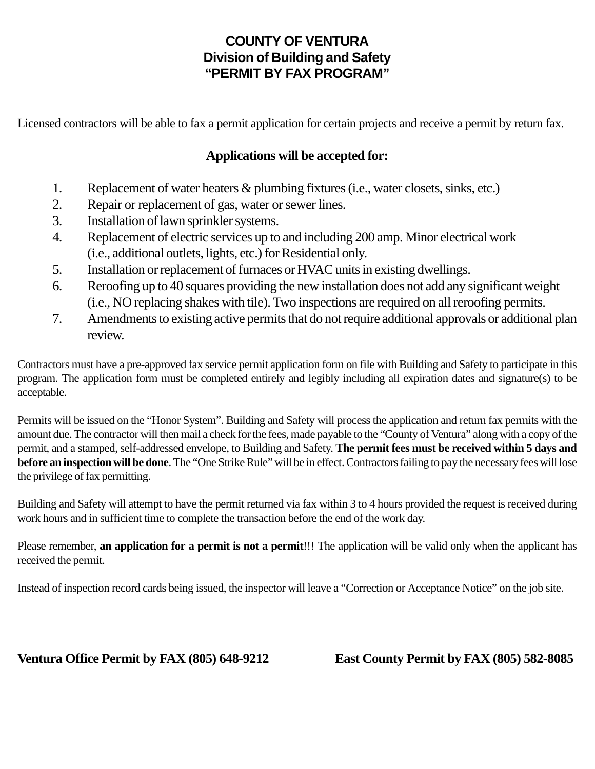# **COUNTY OF VENTURA Division of Building and Safety "PERMIT BY FAX PROGRAM"**

Licensed contractors will be able to fax a permit application for certain projects and receive a permit by return fax.

# **Applications will be accepted for:**

- 1. Replacement of water heaters & plumbing fixtures (i.e., water closets, sinks, etc.)
- 2. Repair or replacement of gas, water or sewer lines.
- 3. Installation of lawn sprinkler systems.
- 4. Replacement of electric services up to and including 200 amp. Minor electrical work (i.e., additional outlets, lights, etc.) for Residential only.
- 5. Installation or replacement of furnaces or HVAC units in existing dwellings.
- 6. Reroofing up to 40 squares providing the new installation does not add any significant weight (i.e., NO replacing shakes with tile). Two inspections are required on all reroofing permits.
- 7. Amendments to existing active permits that do not require additional approvals or additional plan review.

Contractors must have a pre-approved fax service permit application form on file with Building and Safety to participate in this program. The application form must be completed entirely and legibly including all expiration dates and signature(s) to be acceptable.

Permits will be issued on the "Honor System". Building and Safety will process the application and return fax permits with the amount due. The contractor will then mail a check for the fees, made payable to the "County of Ventura" along with a copy of the permit, and a stamped, self-addressed envelope, to Building and Safety. **The permit fees must be received within 5 days and before an inspection will be done**. The "One Strike Rule" will be in effect. Contractors failing to pay the necessary fees will lose the privilege of fax permitting.

Building and Safety will attempt to have the permit returned via fax within 3 to 4 hours provided the request is received during work hours and in sufficient time to complete the transaction before the end of the work day.

Please remember, **an application for a permit is not a permit**!!! The application will be valid only when the applicant has received the permit.

Instead of inspection record cards being issued, the inspector will leave a "Correction or Acceptance Notice" on the job site.

### **Ventura Office Permit by FAX (805) 648-9212 East County Permit by FAX (805) 582-8085**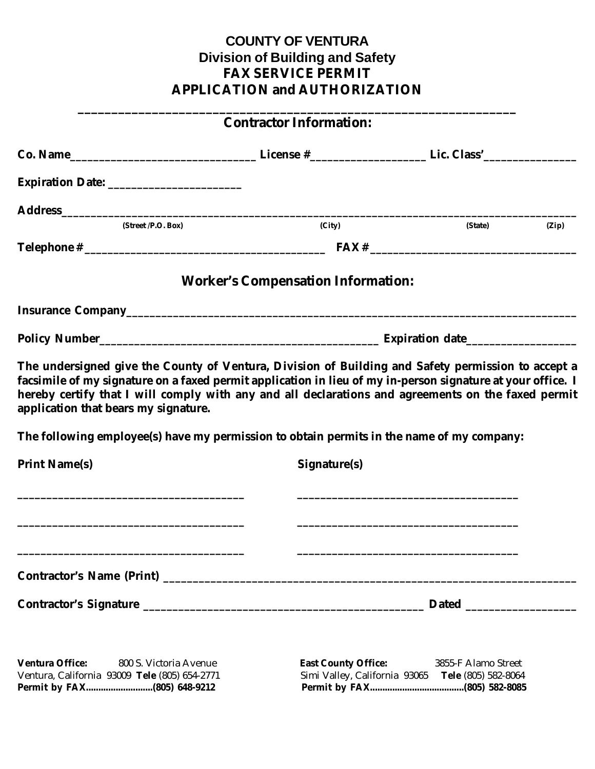# **COUNTY OF VENTURA Division of Building and Safety FAX SERVICE PERMIT APPLICATION and AUTHORIZATION**

**\_\_\_\_\_\_\_\_\_\_\_\_\_\_\_\_\_\_\_\_\_\_\_\_\_\_\_\_\_\_\_\_\_\_\_\_\_\_\_\_\_\_\_\_\_\_\_\_\_\_\_\_\_\_\_\_\_\_\_\_\_\_\_\_\_**

# **Contractor Information: Co. Name\_\_\_\_\_\_\_\_\_\_\_\_\_\_\_\_\_\_\_\_\_\_\_\_\_\_\_\_\_\_\_\_ License #\_\_\_\_\_\_\_\_\_\_\_\_\_\_\_\_\_\_\_\_ Lic. Class'\_\_\_\_\_\_\_\_\_\_\_\_\_\_\_\_ Expiration Date: Address\_\_\_\_\_\_\_\_\_\_\_\_\_\_\_\_\_\_\_\_\_\_\_\_\_\_\_\_\_\_\_\_\_\_\_\_\_\_\_\_\_\_\_\_\_\_\_\_\_\_\_\_\_\_\_\_\_\_\_\_\_\_\_\_\_\_\_\_\_\_\_\_\_\_\_\_\_\_\_\_\_\_\_\_\_\_\_\_ (Street /P.O. Box)** (City) **(Street /P.O. Box)** (Street /P.O. Box) **Telephone # \_\_\_\_\_\_\_\_\_\_\_\_\_\_\_\_\_\_\_\_\_\_\_\_\_\_\_\_\_\_\_\_\_\_\_\_\_\_\_\_\_\_ FAX # \_\_\_\_\_\_\_\_\_\_\_\_\_\_\_\_\_\_\_\_\_\_\_\_\_\_\_\_\_\_\_\_\_\_\_\_ Worker's Compensation Information: Insurance Company\_\_\_\_\_\_\_\_\_\_\_\_\_\_\_\_\_\_\_\_\_\_\_\_\_\_\_\_\_\_\_\_\_\_\_\_\_\_\_\_\_\_\_\_\_\_\_\_\_\_\_\_\_\_\_\_\_\_\_\_\_\_\_\_\_\_\_\_\_\_\_\_\_\_\_\_\_ Policy Number\_\_\_\_\_\_\_\_\_\_\_\_\_\_\_\_\_\_\_\_\_\_\_\_\_\_\_\_\_\_\_\_\_\_\_\_\_\_\_\_\_\_\_\_\_\_\_\_ Expiration date\_\_\_\_\_\_\_\_\_\_\_\_\_\_\_\_\_\_\_ The undersigned give the County of Ventura, Division of Building and Safety permission to accept a facsimile of my signature on a faxed permit application in lieu of my in-person signature at your office. I hereby certify that I will comply with any and all declarations and agreements on the faxed permit application that bears my signature. The following employee(s) have my permission to obtain permits in the name of my company: Print Name(s)** Signature(s) **\_\_\_\_\_\_\_\_\_\_\_\_\_\_\_\_\_\_\_\_\_\_\_\_\_\_\_\_\_\_\_\_\_\_\_\_\_\_\_ \_\_\_\_\_\_\_\_\_\_\_\_\_\_\_\_\_\_\_\_\_\_\_\_\_\_\_\_\_\_\_\_\_\_\_\_\_\_ \_\_\_\_\_\_\_\_\_\_\_\_\_\_\_\_\_\_\_\_\_\_\_\_\_\_\_\_\_\_\_\_\_\_\_\_\_\_\_ \_\_\_\_\_\_\_\_\_\_\_\_\_\_\_\_\_\_\_\_\_\_\_\_\_\_\_\_\_\_\_\_\_\_\_\_\_\_ \_\_\_\_\_\_\_\_\_\_\_\_\_\_\_\_\_\_\_\_\_\_\_\_\_\_\_\_\_\_\_\_\_\_\_\_\_\_\_ \_\_\_\_\_\_\_\_\_\_\_\_\_\_\_\_\_\_\_\_\_\_\_\_\_\_\_\_\_\_\_\_\_\_\_\_\_\_ Contractor's Name (Print) \_\_\_\_\_\_\_\_\_\_\_\_\_\_\_\_\_\_\_\_\_\_\_\_\_\_\_\_\_\_\_\_\_\_\_\_\_\_\_\_\_\_\_\_\_\_\_\_\_\_\_\_\_\_\_\_\_\_\_\_\_\_\_\_\_\_\_\_\_\_ Contractor's Signature \_\_\_\_\_\_\_\_\_\_\_\_\_\_\_\_\_\_\_\_\_\_\_\_\_\_\_\_\_\_\_\_\_\_\_\_\_\_\_\_\_\_\_\_\_\_\_\_ Dated \_\_\_\_\_\_\_\_\_\_\_\_\_\_\_\_\_\_\_**

**Ventura Office:** 800 S. Victoria Avenue **East County Office:** 3855-F Alamo Street Ventura, California 93009 **Tele** (805) 654-2771 Simi Valley, California 93065 **Tele** (805) 582-8064 **Permit by FAX...........................(805) 648-9212 Permit by FAX......................................(805) 582-8085**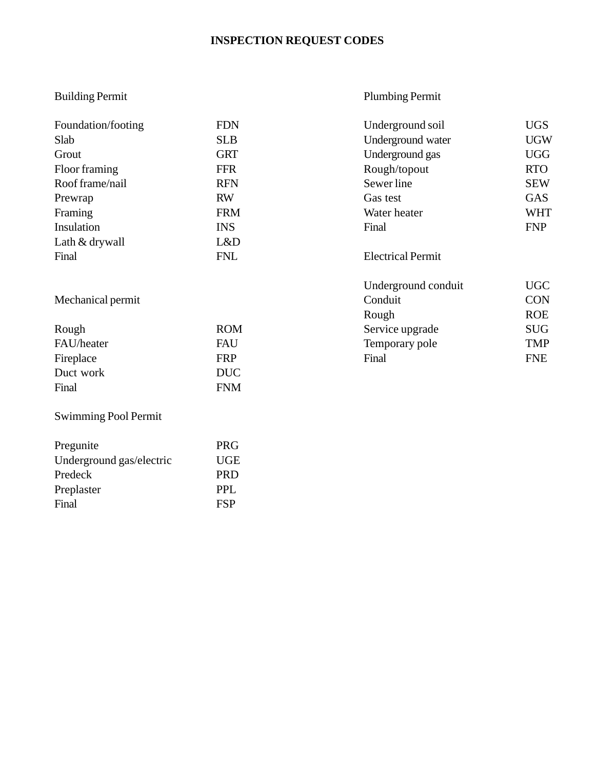# **INSPECTION REQUEST CODES**

# Building Permit

Preplaster PPL<br>Final FSP

Final

# Plumbing Permit

| Foundation/footing          | <b>FDN</b> | Underground soil         | <b>UGS</b> |
|-----------------------------|------------|--------------------------|------------|
| Slab                        | <b>SLB</b> | Underground water        | <b>UGW</b> |
| Grout                       | <b>GRT</b> | Underground gas          | <b>UGG</b> |
| Floor framing               | <b>FFR</b> | Rough/topout             | <b>RTO</b> |
| Roof frame/nail             | <b>RFN</b> | Sewer line               | <b>SEW</b> |
| Prewrap                     | <b>RW</b>  | Gas test                 | <b>GAS</b> |
| Framing                     | <b>FRM</b> | Water heater             | <b>WHT</b> |
| Insulation                  | <b>INS</b> | Final                    | <b>FNP</b> |
| Lath & drywall              | L&D        |                          |            |
| Final                       | <b>FNL</b> | <b>Electrical Permit</b> |            |
|                             |            | Underground conduit      | <b>UGC</b> |
| Mechanical permit           |            | Conduit                  | <b>CON</b> |
|                             |            | Rough                    | <b>ROE</b> |
| Rough                       | <b>ROM</b> | Service upgrade          | <b>SUG</b> |
| FAU/heater                  | FAU        | Temporary pole           | <b>TMP</b> |
| Fireplace                   | <b>FRP</b> | Final                    | <b>FNE</b> |
| Duct work                   | <b>DUC</b> |                          |            |
| Final                       | <b>FNM</b> |                          |            |
| <b>Swimming Pool Permit</b> |            |                          |            |
| Pregunite                   | <b>PRG</b> |                          |            |
| Underground gas/electric    | <b>UGE</b> |                          |            |
| Predeck                     | <b>PRD</b> |                          |            |